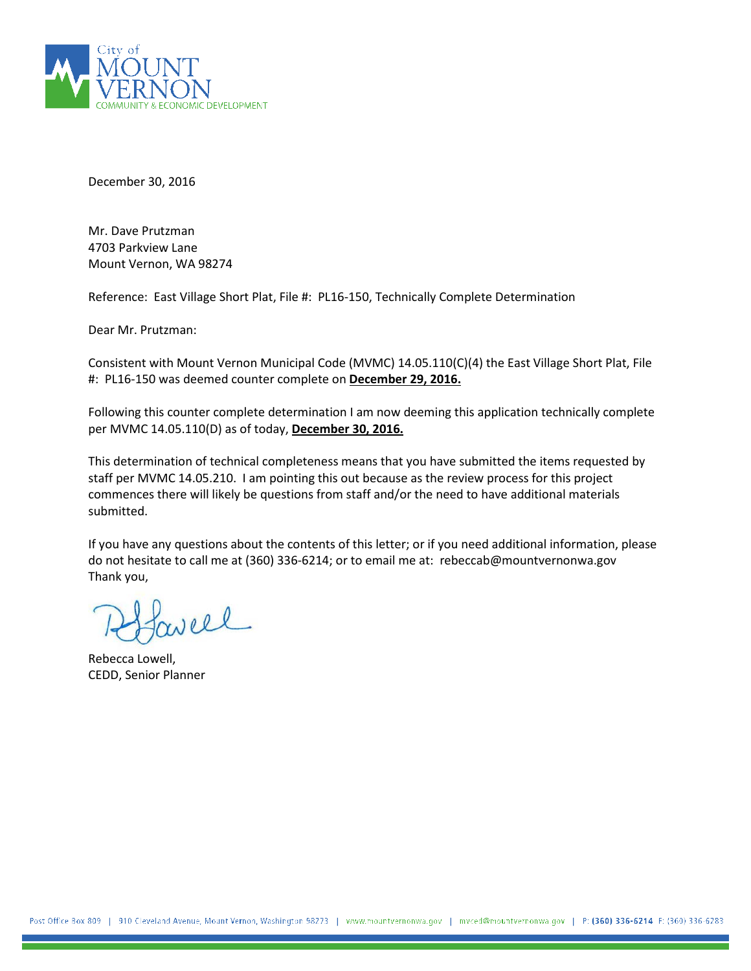

December 30, 2016

Mr. Dave Prutzman 4703 Parkview Lane Mount Vernon, WA 98274

Reference: East Village Short Plat, File #: PL16-150, Technically Complete Determination

Dear Mr. Prutzman:

Consistent with Mount Vernon Municipal Code (MVMC) 14.05.110(C)(4) the East Village Short Plat, File #: PL16-150 was deemed counter complete on **December 29, 2016.**

Following this counter complete determination I am now deeming this application technically complete per MVMC 14.05.110(D) as of today, **December 30, 2016.**

This determination of technical completeness means that you have submitted the items requested by staff per MVMC 14.05.210. I am pointing this out because as the review process for this project commences there will likely be questions from staff and/or the need to have additional materials submitted.

If you have any questions about the contents of this letter; or if you need additional information, please do not hesitate to call me at (360) 336-6214; or to email me at: rebeccab@mountvernonwa.gov Thank you,

well

Rebecca Lowell, CEDD, Senior Planner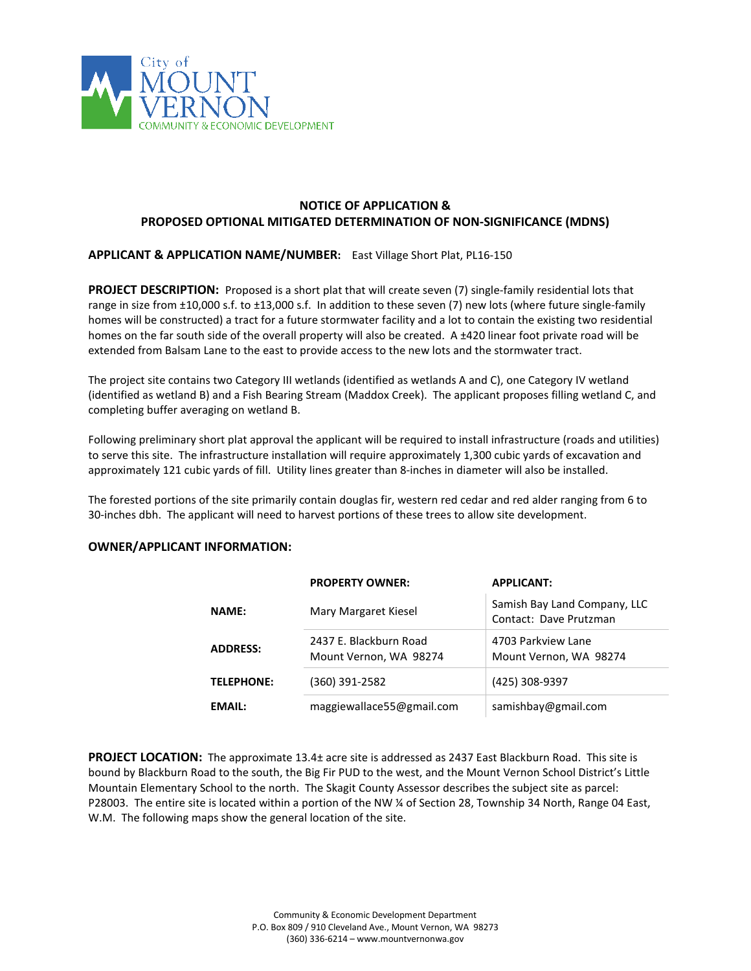

## **NOTICE OF APPLICATION & PROPOSED OPTIONAL MITIGATED DETERMINATION OF NON-SIGNIFICANCE (MDNS)**

### **APPLICANT & APPLICATION NAME/NUMBER:** East Village Short Plat, PL16-150

**PROJECT DESCRIPTION:** Proposed is a short plat that will create seven (7) single-family residential lots that range in size from ±10,000 s.f. to ±13,000 s.f. In addition to these seven (7) new lots (where future single-family homes will be constructed) a tract for a future stormwater facility and a lot to contain the existing two residential homes on the far south side of the overall property will also be created. A ±420 linear foot private road will be extended from Balsam Lane to the east to provide access to the new lots and the stormwater tract.

The project site contains two Category III wetlands (identified as wetlands A and C), one Category IV wetland (identified as wetland B) and a Fish Bearing Stream (Maddox Creek). The applicant proposes filling wetland C, and completing buffer averaging on wetland B.

Following preliminary short plat approval the applicant will be required to install infrastructure (roads and utilities) to serve this site. The infrastructure installation will require approximately 1,300 cubic yards of excavation and approximately 121 cubic yards of fill. Utility lines greater than 8-inches in diameter will also be installed.

The forested portions of the site primarily contain douglas fir, western red cedar and red alder ranging from 6 to 30-inches dbh. The applicant will need to harvest portions of these trees to allow site development.

#### **OWNER/APPLICANT INFORMATION:**

|                   | <b>PROPERTY OWNER:</b>                           | <b>APPLICANT:</b>                                      |  |
|-------------------|--------------------------------------------------|--------------------------------------------------------|--|
| <b>NAME:</b>      | Mary Margaret Kiesel                             | Samish Bay Land Company, LLC<br>Contact: Dave Prutzman |  |
| <b>ADDRESS:</b>   | 2437 E. Blackburn Road<br>Mount Vernon, WA 98274 | 4703 Parkview Lane<br>Mount Vernon, WA 98274           |  |
| <b>TELEPHONE:</b> | (360) 391-2582                                   | (425) 308-9397                                         |  |
| <b>EMAIL:</b>     | maggiewallace55@gmail.com                        | samishbay@gmail.com                                    |  |

**PROJECT LOCATION:** The approximate 13.4± acre site is addressed as 2437 East Blackburn Road. This site is bound by Blackburn Road to the south, the Big Fir PUD to the west, and the Mount Vernon School District's Little Mountain Elementary School to the north. The Skagit County Assessor describes the subject site as parcel: P28003. The entire site is located within a portion of the NW ¼ of Section 28, Township 34 North, Range 04 East, W.M. The following maps show the general location of the site.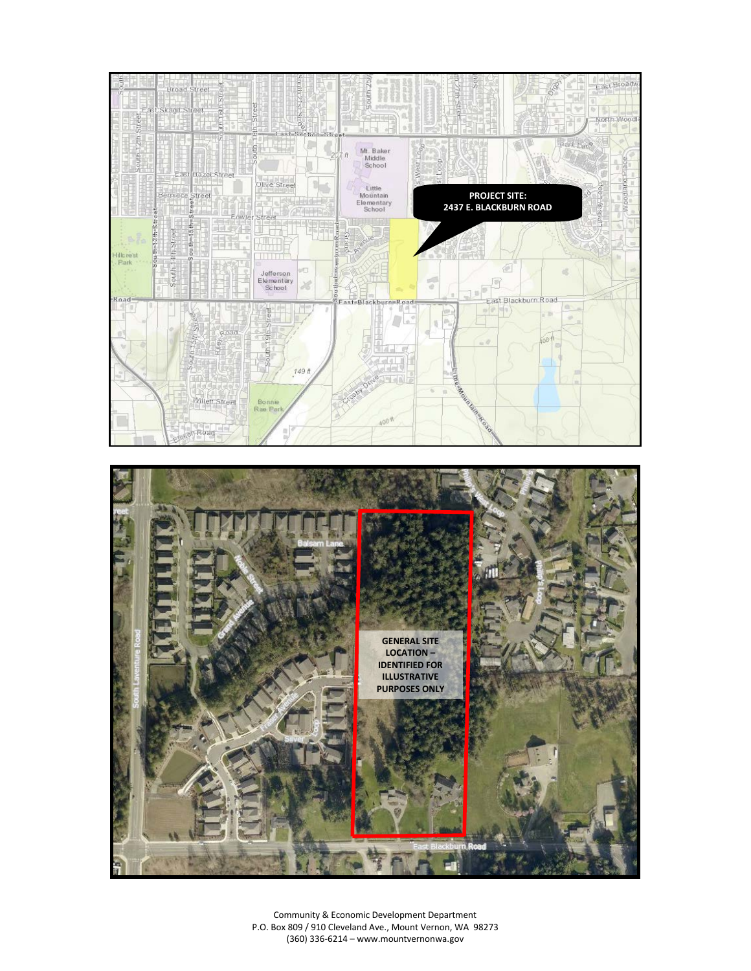



Community & Economic Development Department P.O. Box 809 / 910 Cleveland Ave., Mount Vernon, WA 98273 (360) 336-6214 – www.mountvernonwa.gov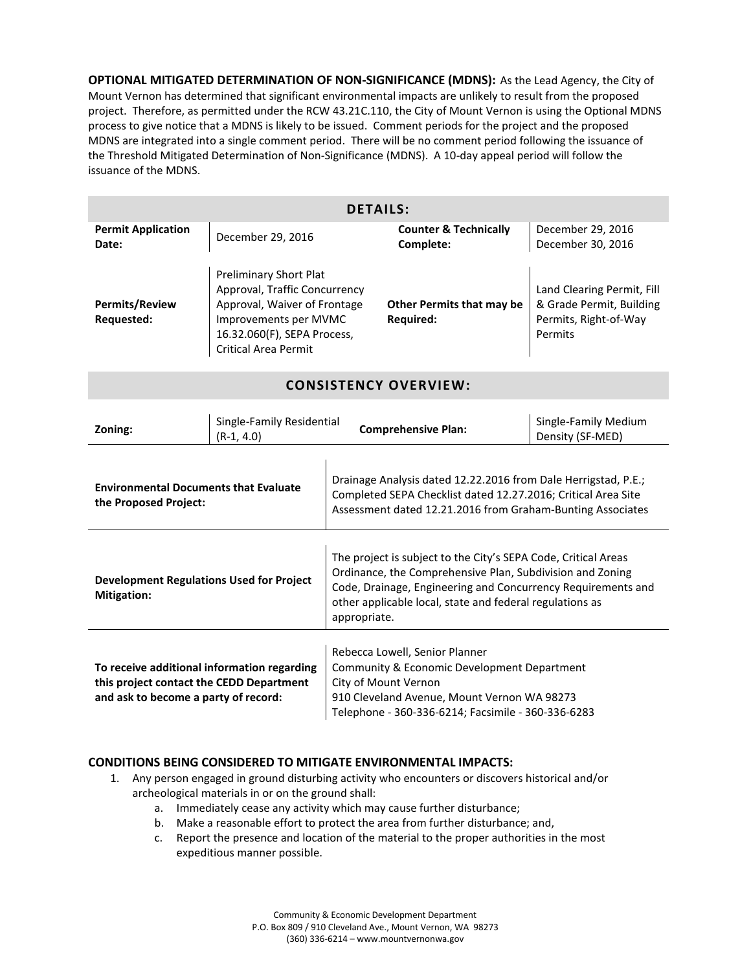**OPTIONAL MITIGATED DETERMINATION OF NON-SIGNIFICANCE (MDNS):** As the Lead Agency, the City of Mount Vernon has determined that significant environmental impacts are unlikely to result from the proposed project. Therefore, as permitted under the RCW 43.21C.110, the City of Mount Vernon is using the Optional MDNS process to give notice that a MDNS is likely to be issued. Comment periods for the project and the proposed MDNS are integrated into a single comment period. There will be no comment period following the issuance of the Threshold Mitigated Determination of Non-Significance (MDNS). A 10-day appeal period will follow the issuance of the MDNS.

| <b>DETAILS:</b>                            |                                                                                                                                                                                       |                                               |                                                                                            |  |  |  |
|--------------------------------------------|---------------------------------------------------------------------------------------------------------------------------------------------------------------------------------------|-----------------------------------------------|--------------------------------------------------------------------------------------------|--|--|--|
| <b>Permit Application</b><br>Date:         | December 29, 2016                                                                                                                                                                     | <b>Counter &amp; Technically</b><br>Complete: | December 29, 2016<br>December 30, 2016                                                     |  |  |  |
| <b>Permits/Review</b><br><b>Requested:</b> | <b>Preliminary Short Plat</b><br>Approval, Traffic Concurrency<br>Approval, Waiver of Frontage<br>Improvements per MVMC<br>16.32.060(F), SEPA Process,<br><b>Critical Area Permit</b> | Other Permits that may be<br><b>Required:</b> | Land Clearing Permit, Fill<br>& Grade Permit, Building<br>Permits, Right-of-Way<br>Permits |  |  |  |

# **CONSISTENCY OVERVIEW:**

| Zoning:                                                                                                                         | Single-Family Residential<br>(R-1, 4.0) | <b>Comprehensive Plan:</b>                                                                                                                                                                                                                                              | Single-Family Medium<br>Density (SF-MED) |  |
|---------------------------------------------------------------------------------------------------------------------------------|-----------------------------------------|-------------------------------------------------------------------------------------------------------------------------------------------------------------------------------------------------------------------------------------------------------------------------|------------------------------------------|--|
| <b>Environmental Documents that Evaluate</b><br>the Proposed Project:                                                           |                                         | Drainage Analysis dated 12.22.2016 from Dale Herrigstad, P.E.;<br>Completed SEPA Checklist dated 12.27.2016; Critical Area Site<br>Assessment dated 12.21.2016 from Graham-Bunting Associates                                                                           |                                          |  |
| <b>Development Regulations Used for Project</b><br><b>Mitigation:</b>                                                           |                                         | The project is subject to the City's SEPA Code, Critical Areas<br>Ordinance, the Comprehensive Plan, Subdivision and Zoning<br>Code, Drainage, Engineering and Concurrency Requirements and<br>other applicable local, state and federal regulations as<br>appropriate. |                                          |  |
| To receive additional information regarding<br>this project contact the CEDD Department<br>and ask to become a party of record: |                                         | Rebecca Lowell, Senior Planner<br>Community & Economic Development Department<br>City of Mount Vernon<br>910 Cleveland Avenue, Mount Vernon WA 98273<br>Telephone - 360-336-6214; Facsimile - 360-336-6283                                                              |                                          |  |

## **CONDITIONS BEING CONSIDERED TO MITIGATE ENVIRONMENTAL IMPACTS:**

- 1. Any person engaged in ground disturbing activity who encounters or discovers historical and/or archeological materials in or on the ground shall:
	- a. Immediately cease any activity which may cause further disturbance;
	- b. Make a reasonable effort to protect the area from further disturbance; and,
	- c. Report the presence and location of the material to the proper authorities in the most expeditious manner possible.